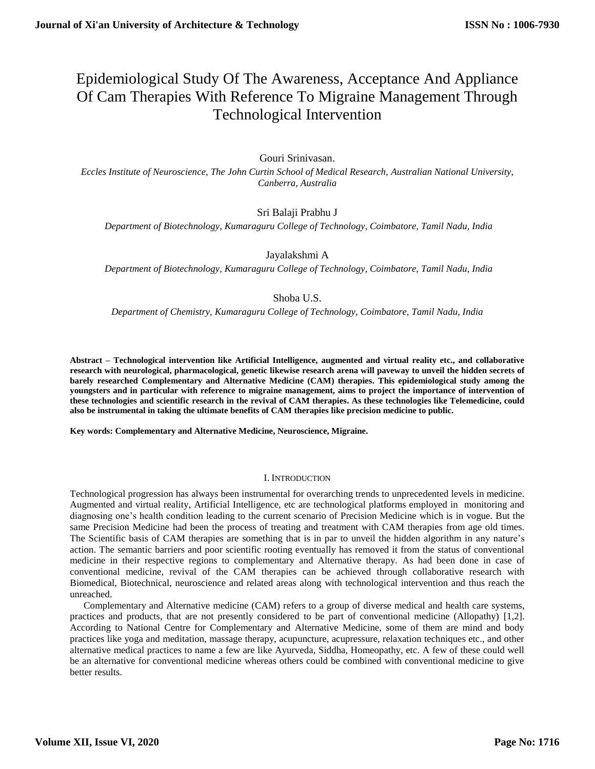# Epidemiological Study Of The Awareness, Acceptance And Appliance Of Cam Therapies With Reference To Migraine Management Through Technological Intervention

# Gouri Srinivasan.

*Eccles Institute of Neuroscience, The John Curtin School of Medical Research, Australian National University, Canberra, Australia*

# Sri Balaji Prabhu J

*Department of Biotechnology, Kumaraguru College of Technology, Coimbatore, Tamil Nadu, India*

Jayalakshmi A

*Department of Biotechnology, Kumaraguru College of Technology, Coimbatore, Tamil Nadu, India*

# Shoba U.S.

*Department of Chemistry, Kumaraguru College of Technology, Coimbatore, Tamil Nadu, India*

**Abstract – Technological intervention like Artificial Intelligence, augmented and virtual reality etc., and collaborative research with neurological, pharmacological, genetic likewise research arena will paveway to unveil the hidden secrets of barely researched Complementary and Alternative Medicine (CAM) therapies. This epidemiological study among the youngsters and in particular with reference to migraine management, aims to project the importance of intervention of these technologies and scientific research in the revival of CAM therapies. As these technologies like Telemedicine, could also be instrumental in taking the ultimate benefits of CAM therapies like precision medicine to public.**

**Key words: Complementary and Alternative Medicine, Neuroscience, Migraine.** 

## I. INTRODUCTION

Technological progression has always been instrumental for overarching trends to unprecedented levels in medicine. Augmented and virtual reality, Artificial Intelligence, etc are technological platforms employed in monitoring and diagnosing one's health condition leading to the current scenario of Precision Medicine which is in vogue. But the same Precision Medicine had been the process of treating and treatment with CAM therapies from age old times. The Scientific basis of CAM therapies are something that is in par to unveil the hidden algorithm in any nature's action. The semantic barriers and poor scientific rooting eventually has removed it from the status of conventional medicine in their respective regions to complementary and Alternative therapy. As had been done in case of conventional medicine, revival of the CAM therapies can be achieved through collaborative research with Biomedical, Biotechnical, neuroscience and related areas along with technological intervention and thus reach the unreached.

Complementary and Alternative medicine (CAM) refers to a group of diverse medical and health care systems, practices and products, that are not presently considered to be part of conventional medicine (Allopathy) [1,2]. According to National Centre for Complementary and Alternative Medicine, some of them are mind and body practices like yoga and meditation, massage therapy, acupuncture, acupressure, relaxation techniques etc., and other alternative medical practices to name a few are like Ayurveda, Siddha, Homeopathy, etc. A few of these could well be an alternative for conventional medicine whereas others could be combined with conventional medicine to give better results.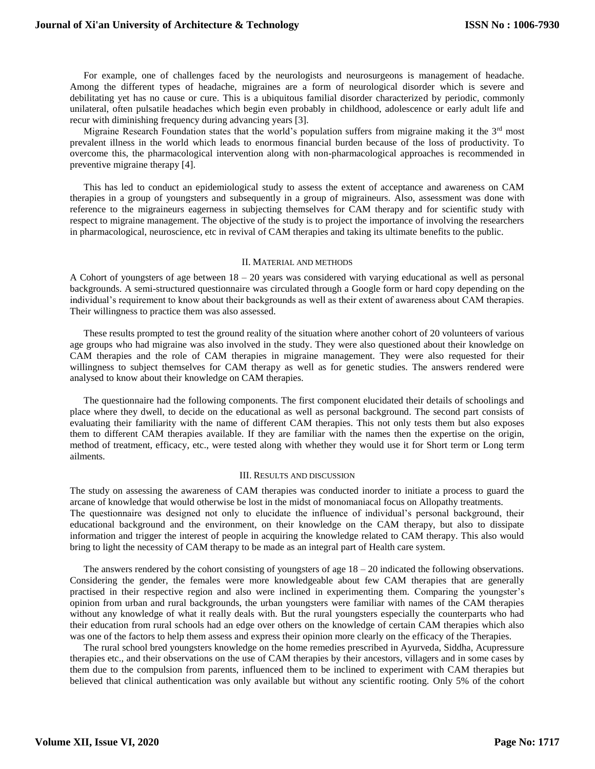For example, one of challenges faced by the neurologists and neurosurgeons is management of headache. Among the different types of headache, migraines are a form of neurological disorder which is severe and debilitating yet has no cause or cure. This is a ubiquitous familial disorder characterized by periodic, commonly unilateral, often pulsatile headaches which begin even probably in childhood, adolescence or early adult life and recur with diminishing frequency during advancing years [3].

Migraine Research Foundation states that the world's population suffers from migraine making it the 3rd most prevalent illness in the world which leads to enormous financial burden because of the loss of productivity. To overcome this, the pharmacological intervention along with non-pharmacological approaches is recommended in preventive migraine therapy [4].

This has led to conduct an epidemiological study to assess the extent of acceptance and awareness on CAM therapies in a group of youngsters and subsequently in a group of migraineurs. Also, assessment was done with reference to the migraineurs eagerness in subjecting themselves for CAM therapy and for scientific study with respect to migraine management. The objective of the study is to project the importance of involving the researchers in pharmacological, neuroscience, etc in revival of CAM therapies and taking its ultimate benefits to the public.

## II. MATERIAL AND METHODS

A Cohort of youngsters of age between 18 – 20 years was considered with varying educational as well as personal backgrounds. A semi-structured questionnaire was circulated through a Google form or hard copy depending on the individual's requirement to know about their backgrounds as well as their extent of awareness about CAM therapies. Their willingness to practice them was also assessed.

These results prompted to test the ground reality of the situation where another cohort of 20 volunteers of various age groups who had migraine was also involved in the study. They were also questioned about their knowledge on CAM therapies and the role of CAM therapies in migraine management. They were also requested for their willingness to subject themselves for CAM therapy as well as for genetic studies. The answers rendered were analysed to know about their knowledge on CAM therapies.

The questionnaire had the following components. The first component elucidated their details of schoolings and place where they dwell, to decide on the educational as well as personal background. The second part consists of evaluating their familiarity with the name of different CAM therapies. This not only tests them but also exposes them to different CAM therapies available. If they are familiar with the names then the expertise on the origin, method of treatment, efficacy, etc., were tested along with whether they would use it for Short term or Long term ailments.

## III. RESULTS AND DISCUSSION

The study on assessing the awareness of CAM therapies was conducted inorder to initiate a process to guard the arcane of knowledge that would otherwise be lost in the midst of monomaniacal focus on Allopathy treatments. The questionnaire was designed not only to elucidate the influence of individual's personal background, their educational background and the environment, on their knowledge on the CAM therapy, but also to dissipate information and trigger the interest of people in acquiring the knowledge related to CAM therapy. This also would bring to light the necessity of CAM therapy to be made as an integral part of Health care system.

The answers rendered by the cohort consisting of youngsters of age 18 – 20 indicated the following observations. Considering the gender, the females were more knowledgeable about few CAM therapies that are generally practised in their respective region and also were inclined in experimenting them. Comparing the youngster's opinion from urban and rural backgrounds, the urban youngsters were familiar with names of the CAM therapies without any knowledge of what it really deals with. But the rural youngsters especially the counterparts who had their education from rural schools had an edge over others on the knowledge of certain CAM therapies which also was one of the factors to help them assess and express their opinion more clearly on the efficacy of the Therapies.

The rural school bred youngsters knowledge on the home remedies prescribed in Ayurveda, Siddha, Acupressure therapies etc., and their observations on the use of CAM therapies by their ancestors, villagers and in some cases by them due to the compulsion from parents, influenced them to be inclined to experiment with CAM therapies but believed that clinical authentication was only available but without any scientific rooting. Only 5% of the cohort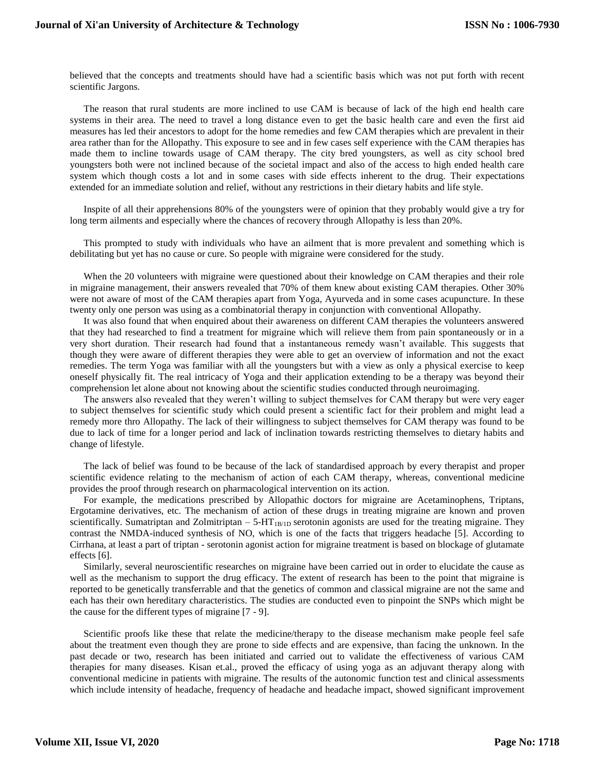believed that the concepts and treatments should have had a scientific basis which was not put forth with recent scientific Jargons.

The reason that rural students are more inclined to use CAM is because of lack of the high end health care systems in their area. The need to travel a long distance even to get the basic health care and even the first aid measures has led their ancestors to adopt for the home remedies and few CAM therapies which are prevalent in their area rather than for the Allopathy. This exposure to see and in few cases self experience with the CAM therapies has made them to incline towards usage of CAM therapy. The city bred youngsters, as well as city school bred youngsters both were not inclined because of the societal impact and also of the access to high ended health care system which though costs a lot and in some cases with side effects inherent to the drug. Their expectations extended for an immediate solution and relief, without any restrictions in their dietary habits and life style.

Inspite of all their apprehensions 80% of the youngsters were of opinion that they probably would give a try for long term ailments and especially where the chances of recovery through Allopathy is less than 20%.

This prompted to study with individuals who have an ailment that is more prevalent and something which is debilitating but yet has no cause or cure. So people with migraine were considered for the study.

When the 20 volunteers with migraine were questioned about their knowledge on CAM therapies and their role in migraine management, their answers revealed that 70% of them knew about existing CAM therapies. Other 30% were not aware of most of the CAM therapies apart from Yoga, Ayurveda and in some cases acupuncture. In these twenty only one person was using as a combinatorial therapy in conjunction with conventional Allopathy.

It was also found that when enquired about their awareness on different CAM therapies the volunteers answered that they had researched to find a treatment for migraine which will relieve them from pain spontaneously or in a very short duration. Their research had found that a instantaneous remedy wasn't available. This suggests that though they were aware of different therapies they were able to get an overview of information and not the exact remedies. The term Yoga was familiar with all the youngsters but with a view as only a physical exercise to keep oneself physically fit. The real intricacy of Yoga and their application extending to be a therapy was beyond their comprehension let alone about not knowing about the scientific studies conducted through neuroimaging.

The answers also revealed that they weren't willing to subject themselves for CAM therapy but were very eager to subject themselves for scientific study which could present a scientific fact for their problem and might lead a remedy more thro Allopathy. The lack of their willingness to subject themselves for CAM therapy was found to be due to lack of time for a longer period and lack of inclination towards restricting themselves to dietary habits and change of lifestyle.

The lack of belief was found to be because of the lack of standardised approach by every therapist and proper scientific evidence relating to the mechanism of action of each CAM therapy, whereas, conventional medicine provides the proof through research on pharmacological intervention on its action.

For example, the medications prescribed by Allopathic doctors for migraine are Acetaminophens, Triptans, Ergotamine derivatives, etc. The mechanism of action of these drugs in treating migraine are known and proven scientifically. Sumatriptan and Zolmitriptan  $-5-HT_{1B/1D}$  serotonin agonists are used for the treating migraine. They contrast the NMDA-induced synthesis of NO, which is one of the facts that triggers headache [5]. According to Cirrhana, at least a part of triptan - serotonin agonist action for migraine treatment is based on blockage of glutamate effects [6].

Similarly, several neuroscientific researches on migraine have been carried out in order to elucidate the cause as well as the mechanism to support the drug efficacy. The extent of research has been to the point that migraine is reported to be genetically transferrable and that the genetics of common and classical migraine are not the same and each has their own hereditary characteristics. The studies are conducted even to pinpoint the SNPs which might be the cause for the different types of migraine [7 - 9].

Scientific proofs like these that relate the medicine/therapy to the disease mechanism make people feel safe about the treatment even though they are prone to side effects and are expensive, than facing the unknown. In the past decade or two, research has been initiated and carried out to validate the effectiveness of various CAM therapies for many diseases. Kisan et.al., proved the efficacy of using yoga as an adjuvant therapy along with conventional medicine in patients with migraine. The results of the autonomic function test and clinical assessments which include intensity of headache, frequency of headache and headache impact, showed significant improvement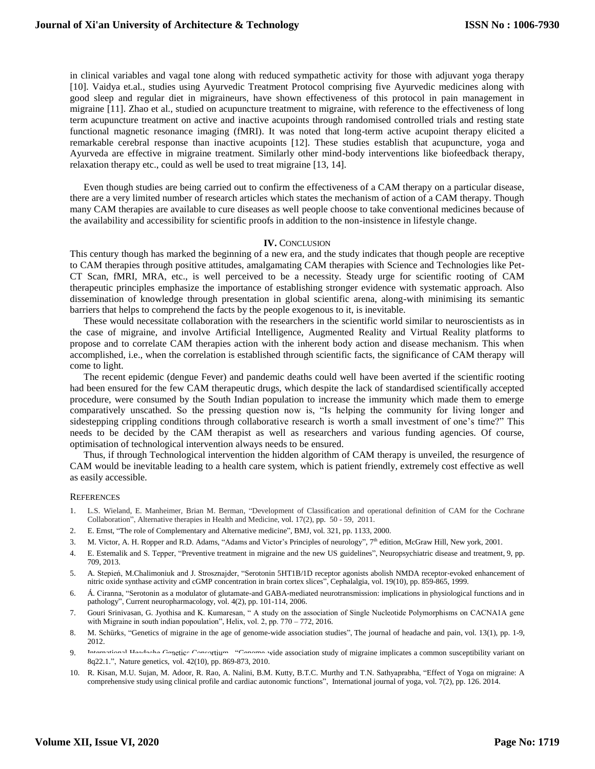in clinical variables and vagal tone along with reduced sympathetic activity for those with adjuvant yoga therapy [10]. Vaidya et.al., studies using Ayurvedic Treatment Protocol comprising five Ayurvedic medicines along with good sleep and regular diet in migraineurs, have shown effectiveness of this protocol in pain management in migraine [11]. Zhao et al., studied on acupuncture treatment to migraine, with reference to the effectiveness of long term acupuncture treatment on active and inactive acupoints through randomised controlled trials and resting state functional magnetic resonance imaging (fMRI). It was noted that long-term active acupoint therapy elicited a remarkable cerebral response than inactive acupoints [12]. These studies establish that acupuncture, yoga and Ayurveda are effective in migraine treatment. Similarly other mind-body interventions like biofeedback therapy, relaxation therapy etc., could as well be used to treat migraine [13, 14].

Even though studies are being carried out to confirm the effectiveness of a CAM therapy on a particular disease, there are a very limited number of research articles which states the mechanism of action of a CAM therapy. Though many CAM therapies are available to cure diseases as well people choose to take conventional medicines because of the availability and accessibility for scientific proofs in addition to the non-insistence in lifestyle change.

## **IV.** CONCLUSION

This century though has marked the beginning of a new era, and the study indicates that though people are receptive to CAM therapies through positive attitudes, amalgamating CAM therapies with Science and Technologies like Pet-CT Scan, fMRI, MRA, etc., is well perceived to be a necessity. Steady urge for scientific rooting of CAM therapeutic principles emphasize the importance of establishing stronger evidence with systematic approach. Also dissemination of knowledge through presentation in global scientific arena, along-with minimising its semantic barriers that helps to comprehend the facts by the people exogenous to it, is inevitable.

These would necessitate collaboration with the researchers in the scientific world similar to neuroscientists as in the case of migraine, and involve Artificial Intelligence, Augmented Reality and Virtual Reality platforms to propose and to correlate CAM therapies action with the inherent body action and disease mechanism. This when accomplished, i.e., when the correlation is established through scientific facts, the significance of CAM therapy will come to light.

The recent epidemic (dengue Fever) and pandemic deaths could well have been averted if the scientific rooting had been ensured for the few CAM therapeutic drugs, which despite the lack of standardised scientifically accepted procedure, were consumed by the South Indian population to increase the immunity which made them to emerge comparatively unscathed. So the pressing question now is, "Is helping the community for living longer and sidestepping crippling conditions through collaborative research is worth a small investment of one's time?" This needs to be decided by the CAM therapist as well as researchers and various funding agencies. Of course, optimisation of technological intervention always needs to be ensured.

Thus, if through Technological intervention the hidden algorithm of CAM therapy is unveiled, the resurgence of CAM would be inevitable leading to a health care system, which is patient friendly, extremely cost effective as well as easily accessible.

#### **REFERENCES**

- 1. L.S. Wieland, E. Manheimer, Brian M. Berman, "Development of Classification and operational definition of CAM for the Cochrane Collaboration", Alternative therapies in Health and Medicine, vol. 17(2), pp. 50 - 59, 2011.
- 2. E. Ernst, "The role of Complementary and Alternative medicine", BMJ, vol. 321, pp. 1133, 2000.
- 3. M. Victor, A. H. Ropper and R.D. Adams, "Adams and Victor's Principles of neurology", 7<sup>th</sup> edition, McGraw Hill, New york, 2001.
- 4. E. Estemalik and S. Tepper, "Preventive treatment in migraine and the new US guidelines", Neuropsychiatric disease and treatment, 9, pp. 709, 2013.
- 5. A. Stepień, M.Chalimoniuk and J. Strosznajder, "Serotonin 5HT1B/1D receptor agonists abolish NMDA receptor-evoked enhancement of nitric oxide synthase activity and cGMP concentration in brain cortex slices", Cephalalgia, vol. 19(10), pp. 859-865, 1999.
- 6. Á. Ciranna, "Serotonin as a modulator of glutamate-and GABA-mediated neurotransmission: implications in physiological functions and in pathology", Current neuropharmacology, vol. 4(2), pp. 101-114, 2006.
- 7. Gouri Srinivasan, G. Jyothisa and K. Kumaresan, " A study on the association of Single Nucleotide Polymorphisms on CACNA1A gene with Migraine in south indian popoulation", Helix, vol. 2, pp. 770 – 772, 2016.
- 8. M. Schürks, "Genetics of migraine in the age of genome-wide association studies", The journal of headache and pain, vol. 13(1), pp. 1-9, 2012.
- 9. International Headache Genetics Consortium, "Genome-wide association study of migraine implicates a common susceptibility variant on 8q22.1.", Nature genetics, vol. 42(10), pp. 869-873, 2010.
- 10. R. Kisan, M.U. Sujan, M. Adoor, R. Rao, A. Nalini, B.M. Kutty, B.T.C. Murthy and T.N. Sathyaprabha, "Effect of Yoga on migraine: A comprehensive study using clinical profile and cardiac autonomic functions", International journal of yoga, vol. 7(2), pp. 126. 2014.